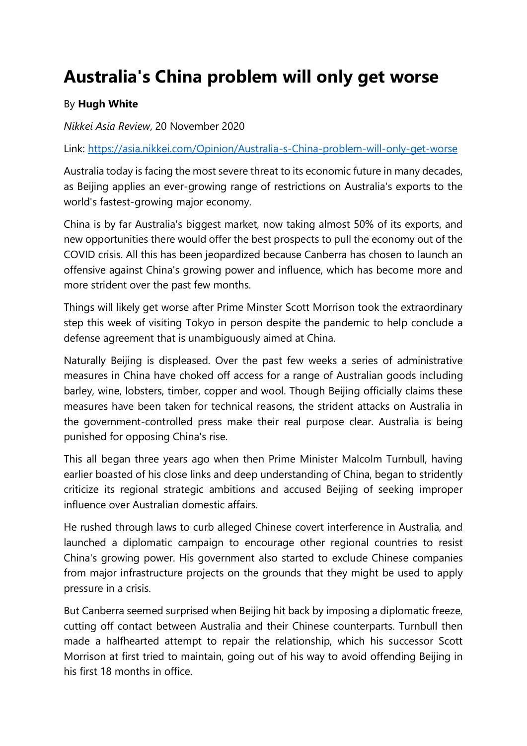## **Australia's China problem will only get worse**

## By **Hugh White**

*Nikkei Asia Review*, 20 November 2020

Link:<https://asia.nikkei.com/Opinion/Australia-s-China-problem-will-only-get-worse>

Australia today is facing the most severe threat to its economic future in many decades, as Beijing applies an ever-growing range of restrictions on Australia's exports to the world's fastest-growing major economy.

China is by far Australia's biggest market, now taking almost 50% of its exports, and new opportunities there would offer the best prospects to pull the economy out of the COVID crisis. All this has been jeopardized because Canberra has chosen to launch an offensive against China's growing power and influence, which has become more and more strident over the past few months.

Things will likely get worse after Prime Minster Scott Morrison took the extraordinary step this week of visiting Tokyo in person despite the pandemic to help conclude a defense agreement that is unambiguously aimed at China.

Naturally Beijing is displeased. Over the past few weeks a series of administrative measures in China have choked off access for a range of Australian goods including barley, wine, lobsters, timber, copper and wool. Though Beijing officially claims these measures have been taken for technical reasons, the strident attacks on Australia in the government-controlled press make their real purpose clear. Australia is being punished for opposing China's rise.

This all began three years ago when then Prime Minister Malcolm Turnbull, having earlier boasted of his close links and deep understanding of China, began to stridently criticize its regional strategic ambitions and accused Beijing of seeking improper influence over Australian domestic affairs.

He rushed through laws to curb alleged Chinese covert interference in Australia, and launched a diplomatic campaign to encourage other regional countries to resist China's growing power. His government also started to exclude Chinese companies from major infrastructure projects on the grounds that they might be used to apply pressure in a crisis.

But Canberra seemed surprised when Beijing hit back by imposing a diplomatic freeze, cutting off contact between Australia and their Chinese counterparts. Turnbull then made a halfhearted attempt to repair the relationship, which his successor Scott Morrison at first tried to maintain, going out of his way to avoid offending Beijing in his first 18 months in office.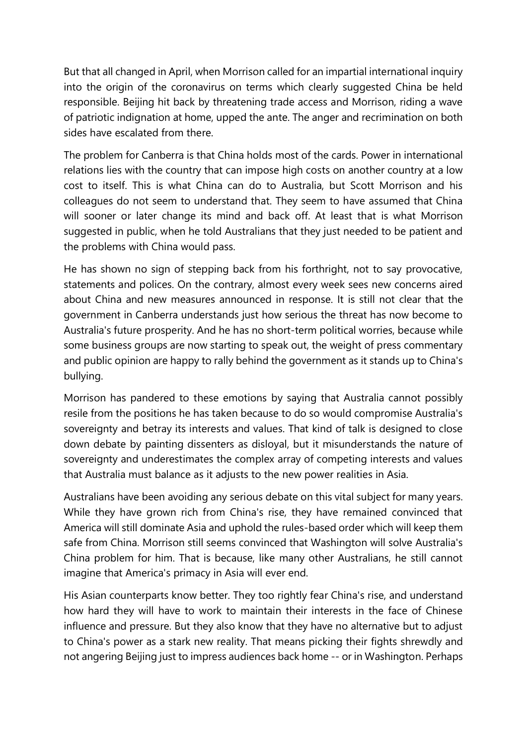But that all changed in April, when Morrison called for an impartial international inquiry into the origin of the coronavirus on terms which clearly suggested China be held responsible. Beijing hit back by threatening trade access and Morrison, riding a wave of patriotic indignation at home, upped the ante. The anger and recrimination on both sides have escalated from there.

The problem for Canberra is that China holds most of the cards. Power in international relations lies with the country that can impose high costs on another country at a low cost to itself. This is what China can do to Australia, but Scott Morrison and his colleagues do not seem to understand that. They seem to have assumed that China will sooner or later change its mind and back off. At least that is what Morrison suggested in public, when he told Australians that they just needed to be patient and the problems with China would pass.

He has shown no sign of stepping back from his forthright, not to say provocative, statements and polices. On the contrary, almost every week sees new concerns aired about China and new measures announced in response. It is still not clear that the government in Canberra understands just how serious the threat has now become to Australia's future prosperity. And he has no short-term political worries, because while some business groups are now starting to speak out, the weight of press commentary and public opinion are happy to rally behind the government as it stands up to China's bullying.

Morrison has pandered to these emotions by saying that Australia cannot possibly resile from the positions he has taken because to do so would compromise Australia's sovereignty and betray its interests and values. That kind of talk is designed to close down debate by painting dissenters as disloyal, but it misunderstands the nature of sovereignty and underestimates the complex array of competing interests and values that Australia must balance as it adjusts to the new power realities in Asia.

Australians have been avoiding any serious debate on this vital subject for many years. While they have grown rich from China's rise, they have remained convinced that America will still dominate Asia and uphold the rules-based order which will keep them safe from China. Morrison still seems convinced that Washington will solve Australia's China problem for him. That is because, like many other Australians, he still cannot imagine that America's primacy in Asia will ever end.

His Asian counterparts know better. They too rightly fear China's rise, and understand how hard they will have to work to maintain their interests in the face of Chinese influence and pressure. But they also know that they have no alternative but to adjust to China's power as a stark new reality. That means picking their fights shrewdly and not angering Beijing just to impress audiences back home -- or in Washington. Perhaps